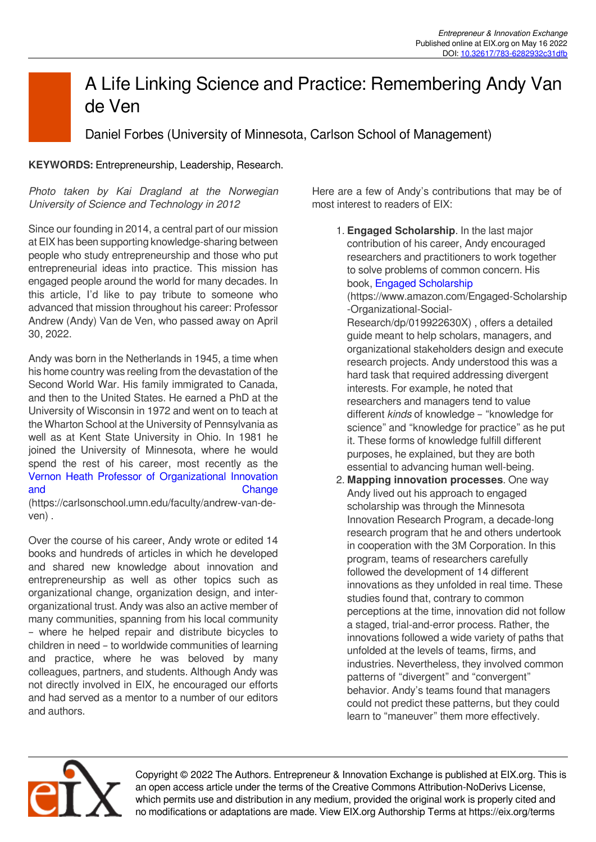## A Life Linking Science and Practice: Remembering Andy Van de Ven

Daniel Forbes (University of Minnesota, Carlson School of Management)

## **KEYWORDS:** Entrepreneurship, Leadership, Research.

*Photo taken by Kai Dragland at the Norwegian University of Science and Technology in 2012*

Since our founding in 2014, a central part of our mission at EIX has been supporting knowledge-sharing between people who study entrepreneurship and those who put entrepreneurial ideas into practice. This mission has engaged people around the world for many decades. In this article, I'd like to pay tribute to someone who advanced that mission throughout his career: Professor Andrew (Andy) Van de Ven, who passed away on April 30, 2022.

Andy was born in the Netherlands in 1945, a time when his home country was reeling from the devastation of the Second World War. His family immigrated to Canada, and then to the United States. He earned a PhD at the University of Wisconsin in 1972 and went on to teach at the Wharton School at the University of Pennsylvania as well as at Kent State University in Ohio. In 1981 he joined the University of Minnesota, where he would spend the rest of his career, most recently as the [Vernon Heath Professor of Organizational Innovation](https://carlsonschool.umn.edu/faculty/andrew-van-de-ven) [and Change](https://carlsonschool.umn.edu/faculty/andrew-van-de-ven) Change

(https://carlsonschool.umn.edu/faculty/andrew-van-deven) .

Over the course of his career, Andy wrote or edited 14 books and hundreds of articles in which he developed and shared new knowledge about innovation and entrepreneurship as well as other topics such as organizational change, organization design, and interorganizational trust. Andy was also an active member of many communities, spanning from his local community – where he helped repair and distribute bicycles to children in need – to worldwide communities of learning and practice, where he was beloved by many colleagues, partners, and students. Although Andy was not directly involved in EIX, he encouraged our efforts and had served as a mentor to a number of our editors and authors.

Here are a few of Andy's contributions that may be of most interest to readers of EIX:

1. **Engaged Scholarship**. In the last major contribution of his career, Andy encouraged researchers and practitioners to work together to solve problems of common concern. His book, [Engaged Scholarship](https://www.amazon.com/Engaged-Scholarship-Organizational-Social-Research/dp/019922630X) (https://www.amazon.com/Engaged-Scholarship -Organizational-Social-Research/dp/019922630X) , offers a detailed guide meant to help scholars, managers, and organizational stakeholders design and execute research projects. Andy understood this was a hard task that required addressing divergent interests. For example, he noted that researchers and managers tend to value different *kinds* of knowledge – "knowledge for science" and "knowledge for practice" as he put it. These forms of knowledge fulfill different purposes, he explained, but they are both essential to advancing human well-being.

2. **Mapping innovation processes**. One way Andy lived out his approach to engaged scholarship was through the Minnesota Innovation Research Program, a decade-long research program that he and others undertook in cooperation with the 3M Corporation. In this program, teams of researchers carefully followed the development of 14 different innovations as they unfolded in real time. These studies found that, contrary to common perceptions at the time, innovation did not follow a staged, trial-and-error process. Rather, the innovations followed a wide variety of paths that unfolded at the levels of teams, firms, and industries. Nevertheless, they involved common patterns of "divergent" and "convergent" behavior. Andy's teams found that managers could not predict these patterns, but they could learn to "maneuver" them more effectively.



Copyright © 2022 The Authors. Entrepreneur & Innovation Exchange is published at EIX.org. This is an open access article under the terms of the Creative Commons Attribution-NoDerivs License, which permits use and distribution in any medium, provided the original work is properly cited and no modifications or adaptations are made. View EIX.org Authorship Terms at https://eix.org/terms